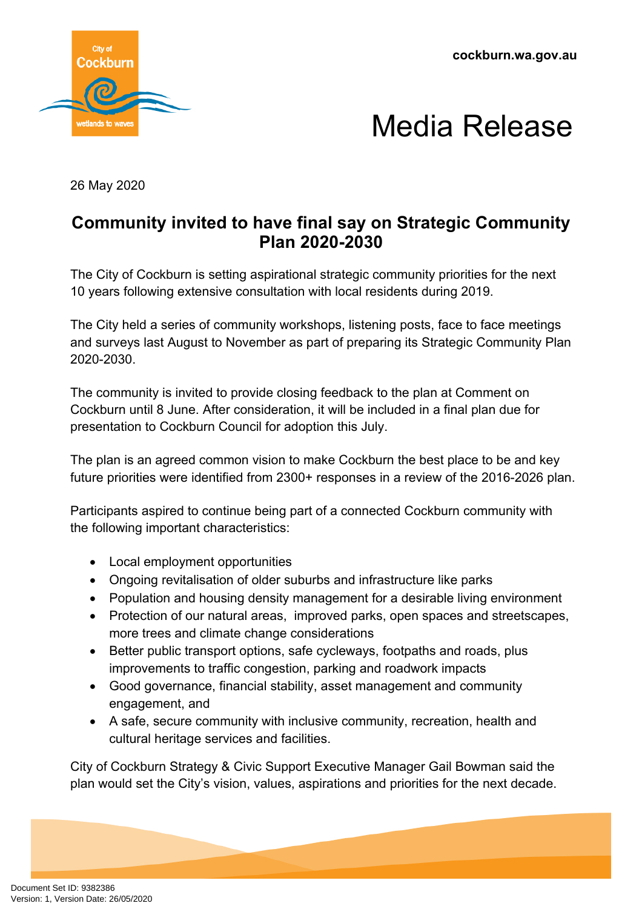**cockburn.wa.gov.au**





26 May 2020

## **Community invited to have final say on Strategic Community Plan 2020-2030**

The City of Cockburn is setting aspirational strategic community priorities for the next 10 years following extensive consultation with local residents during 2019.

The City held a series of community workshops, listening posts, face to face meetings and surveys last August to November as part of preparing its Strategic Community Plan 2020-2030.

The community is invited to provide closing feedback to the plan at Comment on Cockburn until 8 June. After consideration, it will be included in a final plan due for presentation to Cockburn Council for adoption this July.

The plan is an agreed common vision to make Cockburn the best place to be and key future priorities were identified from 2300+ responses in a review of the 2016-2026 plan.

Participants aspired to continue being part of a connected Cockburn community with the following important characteristics:

- Local employment opportunities
- Ongoing revitalisation of older suburbs and infrastructure like parks
- Population and housing density management for a desirable living environment
- Protection of our natural areas, improved parks, open spaces and streetscapes, more trees and climate change considerations
- Better public transport options, safe cycleways, footpaths and roads, plus improvements to traffic congestion, parking and roadwork impacts
- Good governance, financial stability, asset management and community engagement, and
- A safe, secure community with inclusive community, recreation, health and cultural heritage services and facilities.

City of Cockburn Strategy & Civic Support Executive Manager Gail Bowman said the plan would set the City's vision, values, aspirations and priorities for the next decade.